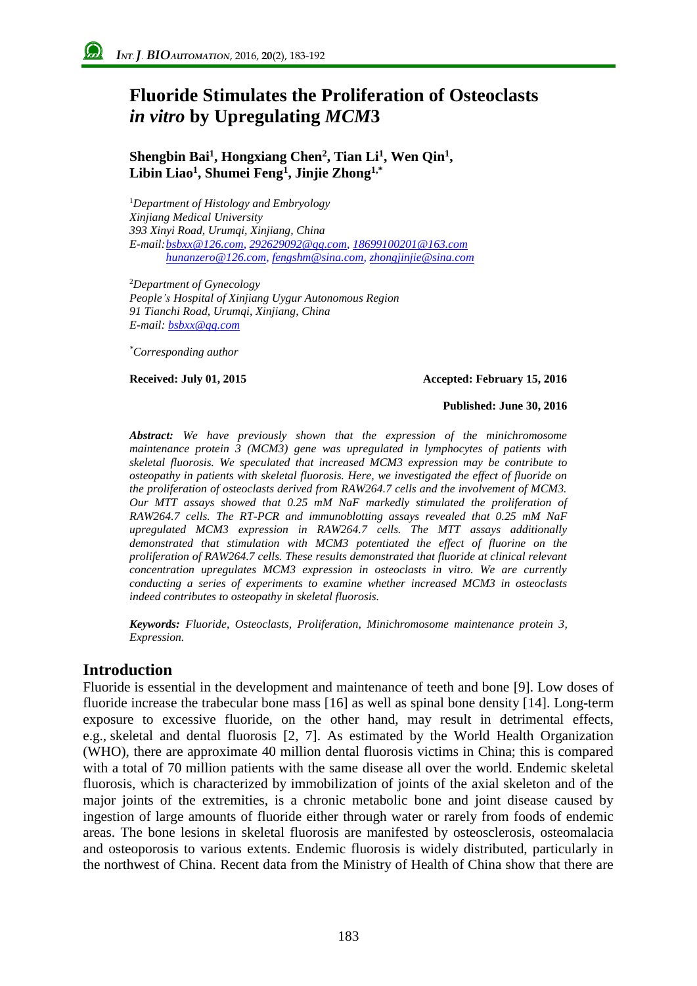# **Fluoride Stimulates the Proliferation of Osteoclasts**  *in vitro* **by Upregulating** *MCM***3**

### **Shengbin Bai<sup>1</sup> , Hongxiang Chen<sup>2</sup> , Tian Li<sup>1</sup> , Wen Qin<sup>1</sup> , Libin Liao<sup>1</sup> , Shumei Feng<sup>1</sup> , Jinjie Zhong1,\***

<sup>1</sup>*Department of Histology and Embryology Xinjiang Medical University 393 Xinyi Road, Urumqi, Xinjiang, China E-mail[:bsbxx@126.com,](mailto:author_email@xxx.xxx) 292629092@qq.com, 18699100201@163.com hunanzero@126.com[, fengshm@sina.com,](mailto:fengshm@sina.com) [zhongjinjie@sina.com](mailto:author_email@xxx.xxx)*

<sup>2</sup>*Department of Gynecology People's Hospital of Xinjiang Uygur Autonomous Region 91 Tianchi Road, Urumqi, Xinjiang, China E-mail[: bsbxx@qq.co](mailto:author_email@xxx.xxx)m*

*\*Corresponding author*

#### **Received: July 01, 2015 Accepted: February 15, 2016**

#### **Published: June 30, 2016**

*Abstract: We have previously shown that the expression of the minichromosome maintenance protein 3 (MCM3) gene was upregulated in lymphocytes of patients with skeletal fluorosis. We speculated that increased MCM3 expression may be contribute to osteopathy in patients with skeletal fluorosis. Here, we investigated the effect of fluoride on the proliferation of osteoclasts derived from RAW264.7 cells and the involvement of MCM3. Our MTT assays showed that 0.25 mM NaF markedly stimulated the proliferation of RAW264.7 cells. The RT-PCR and immunoblotting assays revealed that 0.25 mM NaF upregulated MCM3 expression in RAW264.7 cells. The MTT assays additionally demonstrated that stimulation with MCM3 potentiated the effect of fluorine on the proliferation of RAW264.7 cells. These results demonstrated that fluoride at clinical relevant concentration upregulates MCM3 expression in osteoclasts in vitro. We are currently conducting a series of experiments to examine whether increased MCM3 in osteoclasts indeed contributes to osteopathy in skeletal fluorosis.*

*Keywords: Fluoride, Osteoclasts, Proliferation, Minichromosome maintenance protein 3, Expression.*

# **Introduction**

Fluoride is essential in the development and maintenance of teeth and bone [9]. Low doses of fluoride increase the trabecular bone mass [16] as well as spinal bone density [14]. Long-term exposure to excessive fluoride, on the other hand, may result in detrimental effects, e.g., skeletal and dental fluorosis [2, 7]. As estimated by the World Health Organization (WHO), there are approximate 40 million dental fluorosis victims in China; this is compared with a total of 70 million patients with the same disease all over the world. Endemic skeletal fluorosis, which is characterized by immobilization of joints of the axial skeleton and of the major joints of the extremities, is a chronic metabolic bone and joint disease caused by ingestion of large amounts of fluoride either through water or rarely from foods of endemic areas. The bone lesions in skeletal fluorosis are manifested by osteosclerosis, osteomalacia and osteoporosis to various extents. Endemic fluorosis is widely distributed, particularly in the northwest of China. Recent data from the Ministry of Health of China show that there are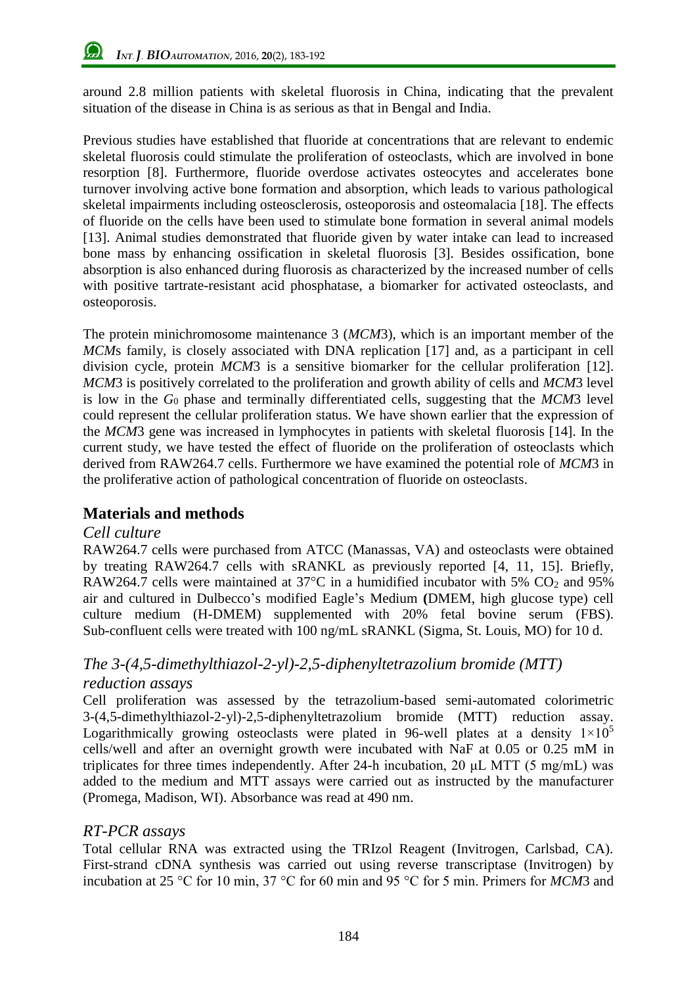around 2.8 million patients with skeletal fluorosis in China, indicating that the prevalent situation of the disease in China is as serious as that in Bengal and India.

Previous studies have established that fluoride at concentrations that are relevant to endemic skeletal fluorosis could stimulate the proliferation of osteoclasts, which are involved in bone resorption [8]. Furthermore, fluoride overdose activates osteocytes and accelerates bone turnover involving active bone formation and absorption, which leads to various pathological skeletal impairments including osteosclerosis, osteoporosis and osteomalacia [18]. The effects of fluoride on the cells have been used to stimulate bone formation in several animal models [13]. Animal studies demonstrated that fluoride given by water intake can lead to increased bone mass by enhancing ossification in skeletal fluorosis [3]. Besides ossification, bone absorption is also enhanced during fluorosis as characterized by the increased number of cells with positive tartrate-resistant acid phosphatase, a biomarker for activated osteoclasts, and osteoporosis.

The protein minichromosome maintenance 3 (*MCM*3), which is an important member of the *MCM*s family, is closely associated with DNA replication [17] and, as a participant in cell division cycle, protein *MCM*3 is a sensitive biomarker for the cellular proliferation [12]. *MCM*3 is positively correlated to the proliferation and growth ability of cells and *MCM*3 level is low in the *G*<sup>0</sup> phase and terminally differentiated cells, suggesting that the *MCM*3 level could represent the cellular proliferation status. We have shown earlier that the expression of the *MCM*3 gene was increased in lymphocytes in patients with skeletal fluorosis [14]. In the current study, we have tested the effect of fluoride on the proliferation of osteoclasts which derived from RAW264.7 cells. Furthermore we have examined the potential role of *MCM*3 in the proliferative action of pathological concentration of fluoride on osteoclasts.

# **Materials and methods**

#### *Cell culture*

RAW264.7 cells were purchased from ATCC (Manassas, VA) and osteoclasts were obtained by treating RAW264.7 cells with sRANKL as previously reported [4, 11, 15]. Briefly, RAW264.7 cells were maintained at  $37^{\circ}$ C in a humidified incubator with 5% CO<sub>2</sub> and 95% air and cultured in Dulbecco's modified Eagle's Medium **(**DMEM, high glucose type) cell culture medium (H-DMEM) supplemented with 20% fetal bovine serum (FBS). Sub-confluent cells were treated with 100 ng/mL sRANKL (Sigma, St. Louis, MO) for 10 d.

# *The 3-(4,5-dimethylthiazol-2-yl)-2,5-diphenyltetrazolium bromide (MTT) reduction assays*

Cell proliferation was assessed by the tetrazolium-based semi-automated colorimetric 3-(4,5-dimethylthiazol-2-yl)-2,5-diphenyltetrazolium bromide (MTT) reduction assay. Logarithmically growing osteoclasts were plated in 96-well plates at a density  $1\times10^5$ cells/well and after an overnight growth were incubated with NaF at 0.05 or 0.25 mM in triplicates for three times independently. After 24-h incubation, 20 μL MTT (5 mg/mL) was added to the medium and MTT assays were carried out as instructed by the manufacturer (Promega, Madison, WI). Absorbance was read at 490 nm.

# *RT-PCR assays*

Total cellular RNA was extracted using the TRIzol Reagent (Invitrogen, Carlsbad, CA). First-strand cDNA synthesis was carried out using reverse transcriptase (Invitrogen) by incubation at 25 °C for 10 min, 37 °C for 60 min and 95 °C for 5 min. Primers for *MCM*3 and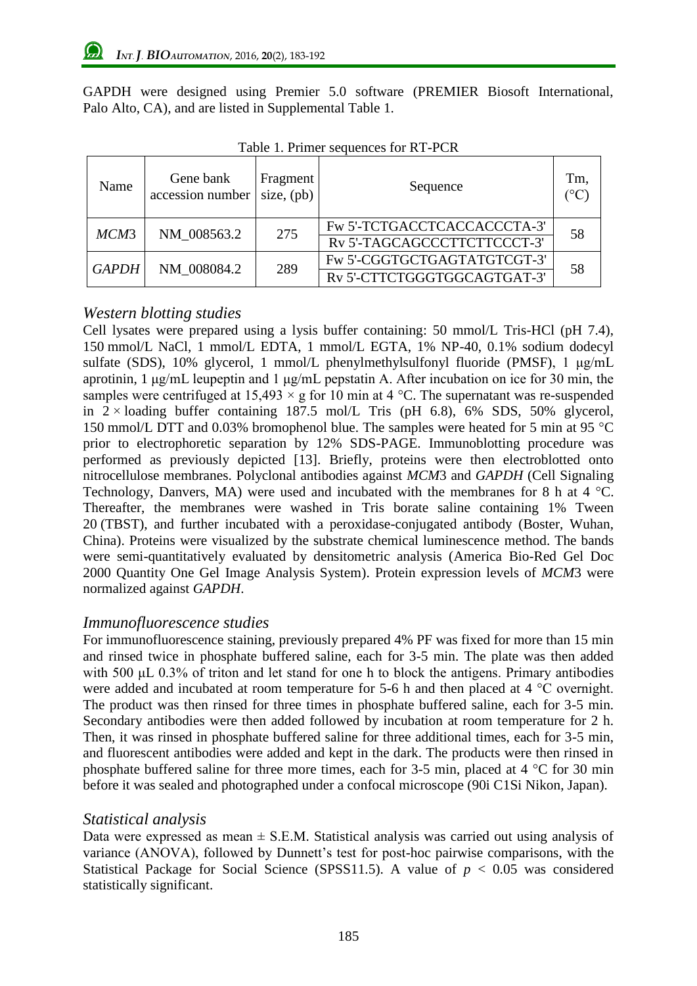GAPDH were designed using Premier 5.0 software (PREMIER Biosoft International, Palo Alto, CA), and are listed in Supplemental Table 1.

| Name         | Gene bank<br>accession number | Fragment<br>size, $(pb)$ | Sequence                    | Tm, |
|--------------|-------------------------------|--------------------------|-----------------------------|-----|
| MCM3         | NM 008563.2                   | 275                      | Fw 5'-TCTGACCTCACCACCCTA-3' | 58  |
|              |                               |                          | RV 5'-TAGCAGCCCTTCTTCCCT-3' |     |
| <b>GAPDH</b> | NM 008084.2                   | 289                      | Fw 5'-CGGTGCTGAGTATGTCGT-3' | 58  |
|              |                               |                          | RV 5'-CTTCTGGGTGGCAGTGAT-3' |     |

Table 1. Primer sequences for RT-PCR

### *Western blotting studies*

Cell lysates were prepared using a lysis buffer containing: 50 mmol/L Tris-HCl (pH 7.4), 150 mmol/L NaCl, 1 mmol/L EDTA, 1 mmol/L EGTA, 1% NP-40, 0.1% sodium dodecyl sulfate (SDS), 10% glycerol, 1 mmol/L phenylmethylsulfonyl fluoride (PMSF), 1 μg/mL aprotinin, 1 μg/mL leupeptin and 1 μg/mL pepstatin A. After incubation on ice for 30 min, the samples were centrifuged at  $15,493 \times g$  for 10 min at 4 °C. The supernatant was re-suspended in  $2 \times$  loading buffer containing 187.5 mol/L Tris (pH 6.8), 6% SDS, 50% glycerol, 150 mmol/L DTT and 0.03% [bromophenol blue.](http://www.biodic.cn/search.asp?tab=0&q=Bromophenol%20blue&l=all) The samples were heated for 5 min at 95 °C prior to electrophoretic separation by 12% SDS-PAGE. Immunoblotting procedure was performed as previously depicted [13]. Briefly, proteins were then electroblotted onto nitrocellulose membranes. Polyclonal antibodies against *MCM*3 and *GAPDH* (Cell Signaling Technology, Danvers, MA) were used and incubated with the membranes for 8 h at 4 °C. Thereafter, the membranes were washed in Tris borate saline containing 1% Tween 20 (TBST), and further incubated with a peroxidase-conjugated antibody (Boster, Wuhan, China). Proteins were visualized by the substrate chemical luminescence method. The bands were semi-quantitatively evaluated by densitometric analysis (America Bio-Red Gel Doc 2000 Quantity One Gel Image Analysis System). Protein expression levels of *MCM*3 were normalized against *GAPDH*.

#### *Immunofluorescence studies*

For immunofluorescence staining, previously prepared 4% PF was fixed for more than 15 min and rinsed twice in phosphate buffered saline, each for 3-5 min. The plate was then added with 500 μL 0.3% of triton and let stand for one h to block the antigens. Primary antibodies were added and incubated at room temperature for 5-6 h and then placed at 4 °C overnight. The product was then rinsed for three times in phosphate buffered saline, each for 3-5 min. Secondary antibodies were then added followed by incubation at room temperature for 2 h. Then, it was rinsed in phosphate buffered saline for three additional times, each for 3-5 min, and fluorescent antibodies were added and kept in the dark. The products were then rinsed in phosphate buffered saline for three more times, each for 3-5 min, placed at 4 °C for 30 min before it was sealed and photographed under a confocal microscope (90i C1Si Nikon, Japan).

#### *Statistical analysis*

Data were expressed as mean  $\pm$  S.E.M. Statistical analysis was carried out using analysis of variance (ANOVA), followed by Dunnett's test for post-hoc pairwise comparisons, with the Statistical Package for Social Science (SPSS11.5). A value of  $p < 0.05$  was considered statistically significant.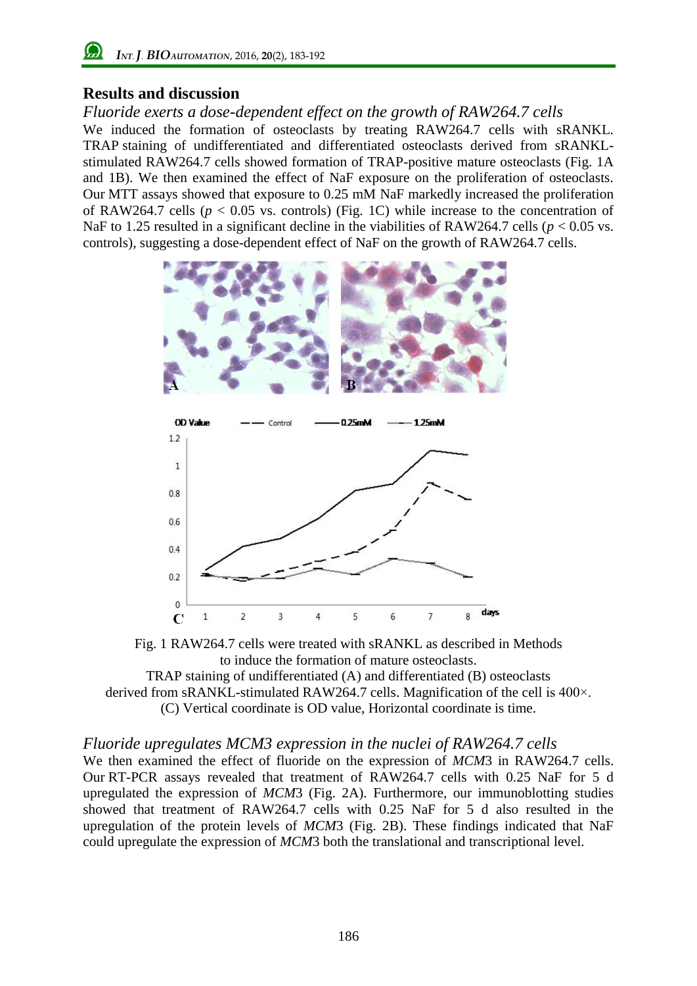# **Results and discussion**

*Fluoride exerts a dose-dependent effect on the growth of RAW264.7 cells* We induced the formation of osteoclasts by treating RAW264.7 cells with sRANKL. TRAP staining of undifferentiated and differentiated osteoclasts derived from sRANKLstimulated RAW264.7 cells showed formation of TRAP-positive mature osteoclasts (Fig. 1A and 1B). We then examined the effect of NaF exposure on the proliferation of osteoclasts. Our MTT assays showed that exposure to 0.25 mM NaF markedly increased the proliferation of RAW264.7 cells ( $p < 0.05$  vs. controls) (Fig. 1C) while increase to the concentration of NaF to 1.25 resulted in a significant decline in the viabilities of RAW264.7 cells ( $p < 0.05$  vs. controls), suggesting a dose-dependent effect of NaF on the growth of RAW264.7 cells.





TRAP staining of undifferentiated (A) and differentiated (B) osteoclasts derived from sRANKL-stimulated RAW264.7 cells. Magnification of the cell is 400×. (C) Vertical coordinate is OD value, Horizontal coordinate is time.

# *Fluoride upregulates MCM3 expression in the nuclei of RAW264.7 cells*

We then examined the effect of fluoride on the expression of *MCM*3 in RAW264.7 cells. Our RT-PCR assays revealed that treatment of RAW264.7 cells with 0.25 NaF for 5 d upregulated the expression of *MCM*3 (Fig. 2A). Furthermore, our immunoblotting studies showed that treatment of RAW264.7 cells with 0.25 NaF for 5 d also resulted in the upregulation of the protein levels of *MCM*3 (Fig. 2B). These findings indicated that NaF could upregulate the expression of *MCM*3 both the translational and transcriptional level.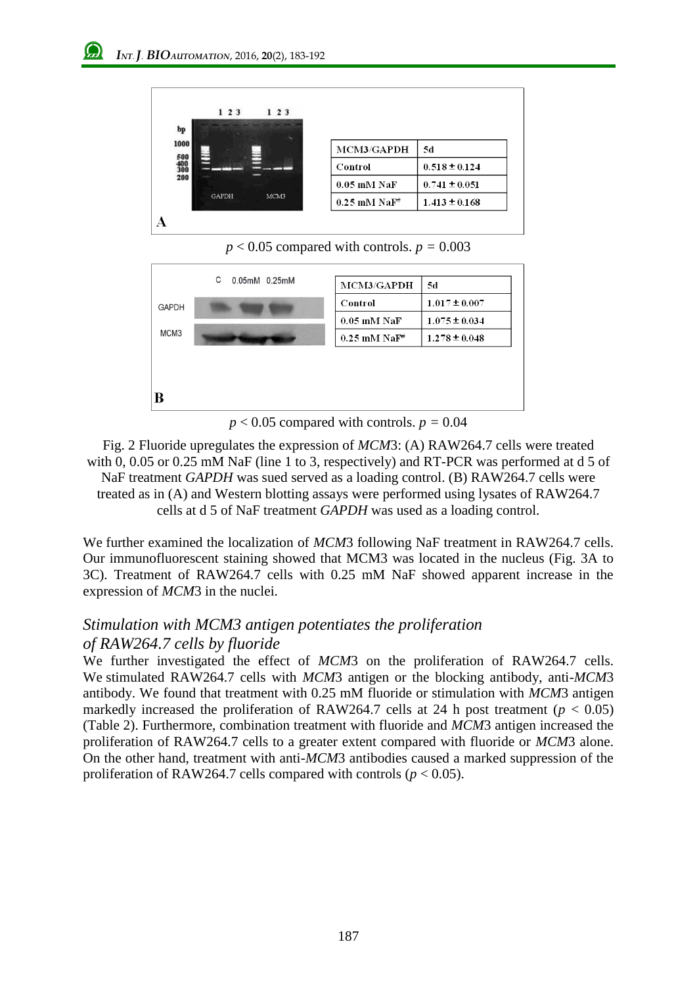

 $p < 0.05$  compared with controls.  $p = 0.003$ 



 $p < 0.05$  compared with controls.  $p = 0.04$ 

Fig. 2 Fluoride upregulates the expression of *MCM*3: (A) RAW264.7 cells were treated with 0, 0.05 or 0.25 mM NaF (line 1 to 3, respectively) and RT-PCR was performed at d 5 of NaF treatment *GAPDH* was sued served as a loading control. (B) RAW264.7 cells were treated as in (A) and Western blotting assays were performed using lysates of RAW264.7 cells at d 5 of NaF treatment *GAPDH* was used as a loading control.

We further examined the localization of *MCM*3 following NaF treatment in RAW264.7 cells. Our immunofluorescent staining showed that MCM3 was located in the nucleus (Fig. 3A to 3C). Treatment of RAW264.7 cells with 0.25 mM NaF showed apparent increase in the expression of *MCM*3 in the nuclei.

# *Stimulation with MCM3 antigen potentiates the proliferation of RAW264.7 cells by fluoride*

We further investigated the effect of *MCM*3 on the proliferation of RAW264.7 cells. We stimulated RAW264.7 cells with *MCM*3 antigen or the blocking antibody, anti-*MCM*3 antibody. We found that treatment with 0.25 mM fluoride or stimulation with *MCM*3 antigen markedly increased the proliferation of RAW264.7 cells at 24 h post treatment ( $p < 0.05$ ) (Table 2). Furthermore, combination treatment with fluoride and *MCM*3 antigen increased the proliferation of RAW264.7 cells to a greater extent compared with fluoride or *MCM*3 alone. On the other hand, treatment with anti-*MCM*3 antibodies caused a marked suppression of the proliferation of RAW264.7 cells compared with controls ( $p < 0.05$ ).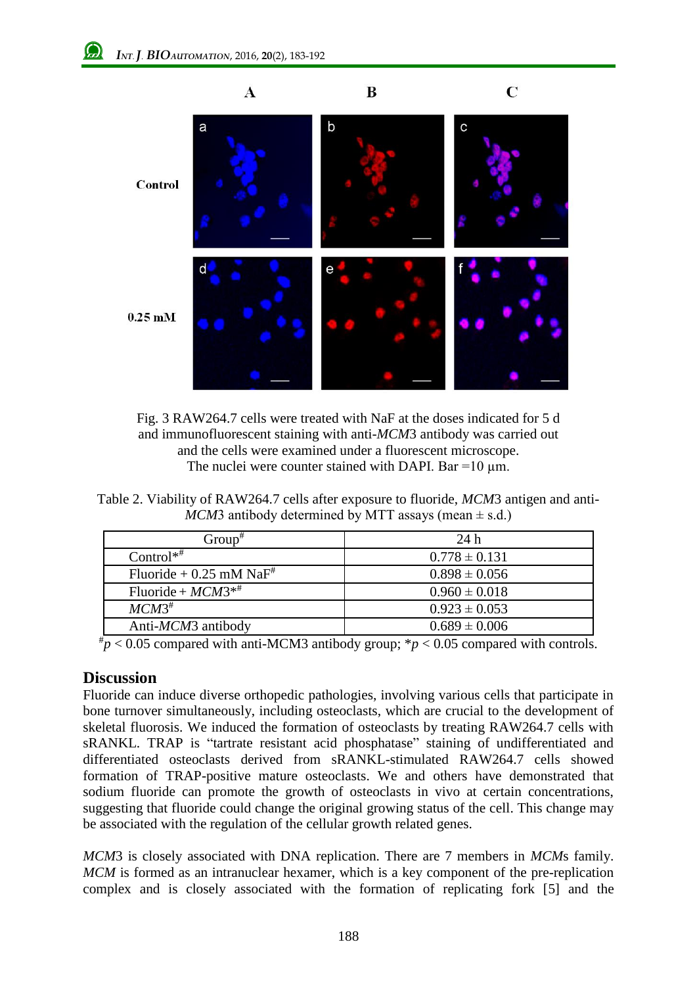

Fig. 3 RAW264.7 cells were treated with NaF at the doses indicated for 5 d and immunofluorescent staining with anti-*MCM*3 antibody was carried out and the cells were examined under a fluorescent microscope. The nuclei were counter stained with DAPI. Bar =10  $\mu$ m.

Table 2. Viability of RAW264.7 cells after exposure to fluoride, *MCM*3 antigen and anti-*MCM*3 antibody determined by MTT assays (mean  $\pm$  s.d.)

| $Group^{\#}$                          | 24 h              |
|---------------------------------------|-------------------|
| $Control^{**}$                        | $0.778 \pm 0.131$ |
| Fluoride + $0.25$ mM NaF <sup>#</sup> | $0.898 \pm 0.056$ |
| Fluoride + $MCM3**$                   | $0.960 \pm 0.018$ |
| $MCM3^{\#}$                           | $0.923 \pm 0.053$ |
| Anti-MCM3 antibody                    | $0.689 \pm 0.006$ |

 $^{*}p$  < 0.05 compared with anti-MCM3 antibody group;  $^{*}p$  < 0.05 compared with controls.

#### **Discussion**

Fluoride can induce diverse orthopedic pathologies, involving various cells that participate in bone turnover simultaneously, including osteoclasts, which are crucial to the development of skeletal fluorosis. We induced the formation of osteoclasts by treating RAW264.7 cells with sRANKL. TRAP is "tartrate resistant acid phosphatase" staining of undifferentiated and differentiated osteoclasts derived from sRANKL-stimulated RAW264.7 cells showed formation of TRAP-positive mature osteoclasts. We and others have demonstrated that sodium fluoride can promote the growth of osteoclasts in vivo at certain concentrations, suggesting that fluoride could change the original growing status of the cell. This change may be associated with the regulation of the cellular growth related genes.

*MCM*3 is closely associated with DNA replication. There are 7 members in *MCM*s family. *MCM* is formed as an intranuclear hexamer, which is a key component of the pre-replication complex and is closely associated with the formation of replicating fork [5] and the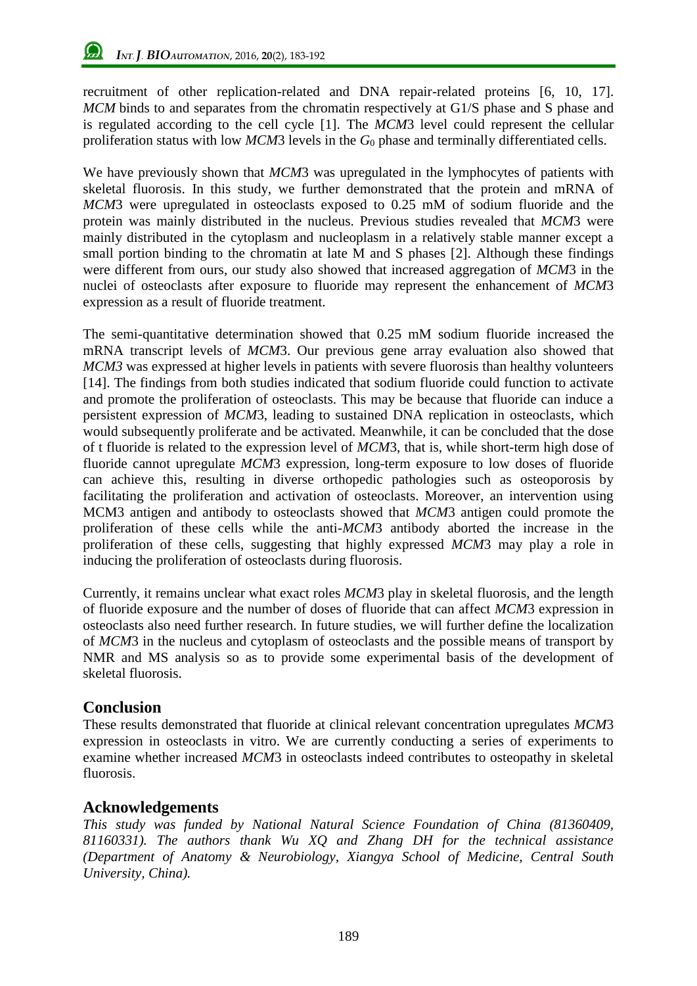recruitment of other replication-related and DNA repair-related proteins [6, 10, 17]. *MCM* binds to and separates from the chromatin respectively at G1/S phase and S phase and is regulated according to the cell cycle [1]. The *MCM*3 level could represent the cellular proliferation status with low *MCM*3 levels in the  $G_0$  phase and terminally differentiated cells.

We have previously shown that *MCM*3 was upregulated in the lymphocytes of patients with skeletal fluorosis. In this study, we further demonstrated that the protein and mRNA of *MCM*3 were upregulated in osteoclasts exposed to 0.25 mM of sodium fluoride and the protein was mainly distributed in the nucleus. Previous studies revealed that *MCM*3 were mainly distributed in the cytoplasm and nucleoplasm in a relatively stable manner except a small portion binding to the chromatin at late M and S phases [2]. Although these findings were different from ours, our study also showed that increased aggregation of *MCM*3 in the nuclei of osteoclasts after exposure to fluoride may represent the enhancement of *MCM*3 expression as a result of fluoride treatment.

The semi-quantitative determination showed that 0.25 mM sodium fluoride increased the mRNA transcript levels of *MCM*3. Our previous gene array evaluation also showed that *MCM3* was expressed at higher levels in patients with severe fluorosis than healthy volunteers [14]. The findings from both studies indicated that sodium fluoride could function to activate and promote the proliferation of osteoclasts. This may be because that fluoride can induce a persistent expression of *MCM*3, leading to sustained DNA replication in osteoclasts, which would subsequently proliferate and be activated. Meanwhile, it can be concluded that the dose of t fluoride is related to the expression level of *MCM*3, that is, while short-term high dose of fluoride cannot upregulate *MCM*3 expression, long-term exposure to low doses of fluoride can achieve this, resulting in diverse orthopedic pathologies such as osteoporosis by facilitating the proliferation and activation of osteoclasts. Moreover, an intervention using MCM3 antigen and antibody to osteoclasts showed that *MCM*3 antigen could promote the proliferation of these cells while the anti-*MCM*3 antibody aborted the increase in the proliferation of these cells, suggesting that highly expressed *MCM*3 may play a role in inducing the proliferation of osteoclasts during fluorosis.

Currently, it remains unclear what exact roles *MCM*3 play in skeletal fluorosis, and the length of fluoride exposure and the number of doses of fluoride that can affect *MCM*3 expression in osteoclasts also need further research. In future studies, we will further define the localization of *MCM*3 in the nucleus and cytoplasm of osteoclasts and the possible means of transport by NMR and MS analysis so as to provide some experimental basis of the development of skeletal fluorosis.

# **Conclusion**

These results demonstrated that fluoride at clinical relevant concentration upregulates *MCM*3 expression in osteoclasts in vitro. We are currently conducting a series of experiments to examine whether increased *MCM*3 in osteoclasts indeed contributes to osteopathy in skeletal fluorosis.

# **Acknowledgements**

*This study was funded by National Natural Science Foundation of China (81360409, 81160331). The authors thank Wu XQ and Zhang DH for the technical assistance (Department of Anatomy & Neurobiology, Xiangya School of Medicine, Central South University, China).*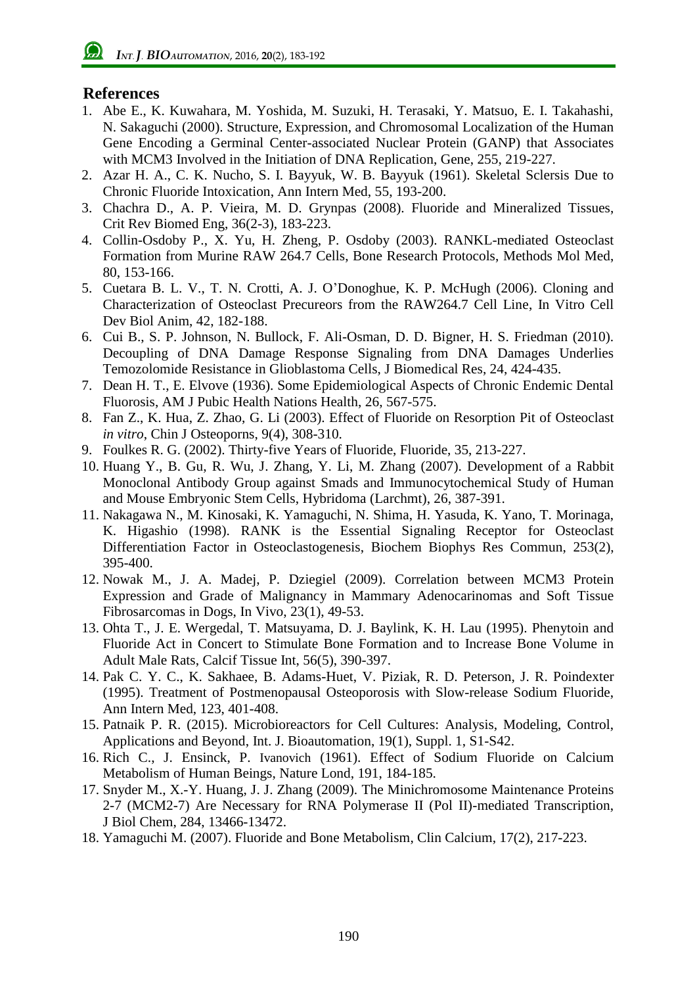# **References**

- 1. Abe E., K. Kuwahara, M. Yoshida, M. Suzuki, H. Terasaki, Y. Matsuo, E. I. Takahashi, N. Sakaguchi (2000). Structure, Expression, and Chromosomal Localization of the Human Gene Encoding a Germinal Center-associated Nuclear Protein (GANP) that Associates with MCM3 Involved in the Initiation of DNA Replication, Gene, 255, 219-227.
- 2. Azar H. A., C. K. Nucho, S. I. Bayyuk, W. B. Bayyuk (1961). Skeletal Sclersis Due to Chronic Fluoride Intoxication, Ann Intern Med, 55, 193-200.
- 3. [Chachra D.](http://www.ncbi.nlm.nih.gov/pubmed?term=%22Chachra%20D%22%5BAuthor%5D), A. P. Vieira, M. D. Grynpas (2008). Fluoride and Mineralized Tissues, Crit [Rev Biomed Eng,](javascript:AL_get(this,%20) 36(2-3), 183-223.
- 4. Collin-Osdoby P., X. Yu, H. Zheng, P. Osdoby (2003). [RANKL-mediated Osteoclast](http://www.ncbi.nlm.nih.gov/pubmed/12728717) [Formation from Murine RAW 264.7 Cells,](http://www.ncbi.nlm.nih.gov/pubmed/12728717) Bone Research Protocols, Methods Mol Med, 80, 153-166.
- 5. Cuetara B. L. V., T. N. Crotti, A. J. O'Donoghue, K. P. McHugh (2006). Cloning and Characterization of Osteoclast Precureors from the RAW264.7 Cell Line, In Vitro Cell Dev Biol Anim, 42, 182-188.
- 6. Cui B., S. P. Johnson, N. Bullock, F. Ali-Osman, D. D. Bigner, H. S. Friedman (2010). Decoupling of DNA Damage Response Signaling from DNA Damages Underlies Temozolomide Resistance in Glioblastoma Cells, J Biomedical Res, 24, 424-435.
- 7. Dean H. T., E. Elvove (1936). Some Epidemiological Aspects of Chronic Endemic Dental Fluorosis, AM J Pubic Health Nations Health, 26, 567-575.
- 8. Fan Z., K. Hua, Z. Zhao, G. Li (2003). Effect of Fluoride on Resorption Pit of Osteoclast *in vitro*, Chin J Osteoporns, 9(4), 308-310.
- 9. Foulkes R. G. (2002). Thirty-five Years of Fluoride, Fluoride, 35, 213-227.
- 10. Huang Y., B. Gu, R. Wu, J. Zhang, Y. Li, M. Zhang (2007). Development of a Rabbit Monoclonal Antibody Group against Smads and Immunocytochemical Study of Human and Mouse Embryonic Stem Cells, Hybridoma (Larchmt), 26, 387-391.
- 11. [Nakagawa N.](http://www.ncbi.nlm.nih.gov/pubmed?term=%22Nakagawa%20N%22%5BAuthor%5D), M. [Kinosaki,](http://www.ncbi.nlm.nih.gov/pubmed?term=%22Kinosaki%20M%22%5BAuthor%5D) K. Yamaguchi, N. Shima, H. Yasuda, K. Yano, T. Morinaga, K. Higashio (1998). RANK is the Essential Signaling Receptor for Osteoclast Differentiation Factor in Osteoclastogenesis, Biochem Biophys Res Commun, 253(2), 395-400.
- 12. Nowak M., J. A. Madej, P. Dziegiel (2009). Correlation between MCM3 Protein Expression and Grade of Malignancy in Mammary Adenocarinomas and Soft Tissue Fibrosarcomas in Dogs, In Vivo, 23(1), 49-53.
- 13. Ohta T., J. E. Wergedal, T. Matsuyama, D. J. Baylink, K. H. Lau (1995). Phenytoin and Fluoride Act in Concert to Stimulate Bone Formation and to Increase Bone Volume in Adult Male Rats, [Calcif Tissue Int,](javascript:AL_get(this,%20) 56(5), 390-397.
- 14. Pak C. Y. C., K. Sakhaee, B. Adams-Huet, V. Piziak, R. D. Peterson, J. R. Poindexter (1995). Treatment of Postmenopausal Osteoporosis with Slow-release Sodium Fluoride, Ann Intern Med, 123, 401-408.
- 15. Patnaik P. R. (2015). Microbioreactors for Cell Cultures: Analysis, Modeling, Control, Applications and Beyond, Int. J. Bioautomation, 19(1), Suppl. 1, S1-S42.
- 16. Rich C., J. Ensinck, P. Ivanovich (1961). Effect of Sodium Fluoride on Calcium Metabolism of Human Beings, Nature Lond, 191, 184-185.
- 17. Snyder M., X.-Y. Huang, J. J. Zhang (2009). The Minichromosome Maintenance Proteins 2-7 (MCM2-7) Are Necessary for RNA Polymerase II (Pol II)-mediated Transcription, J Biol Chem, 284, 13466-13472.
- 18. [Yamaguchi M.](http://www.ncbi.nlm.nih.gov/pubmed?term=%22Yamaguchi%20M%22%5BAuthor%5D) (2007). Fluoride and Bone Metabolism, [Clin Calcium,](javascript:AL_get(this,%20) 17(2), 217-223.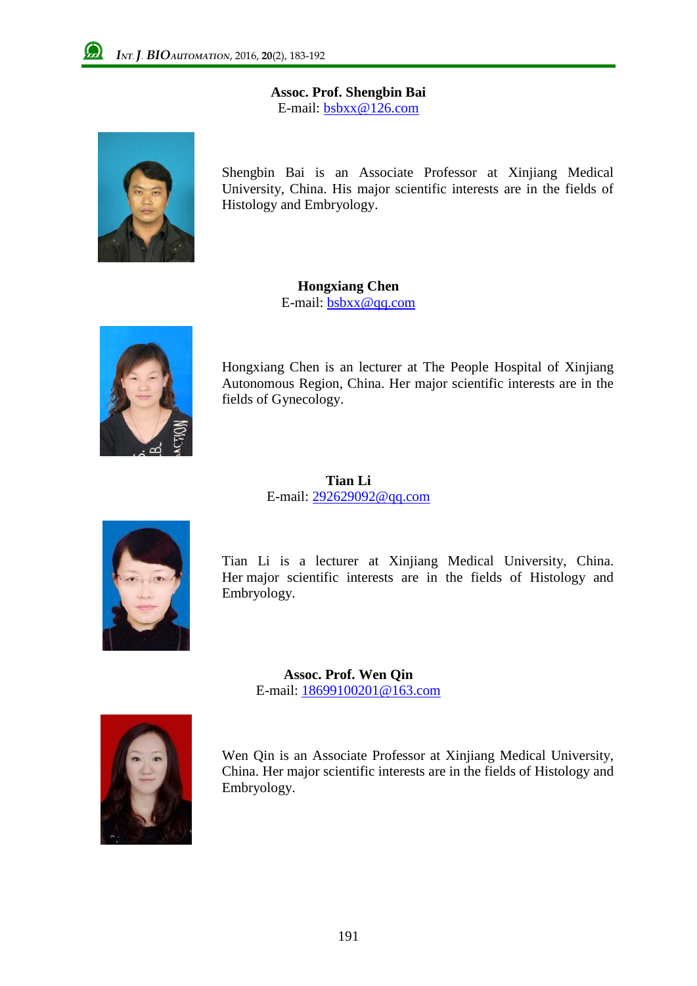**Assoc. Prof. Shengbin Bai** E-mail: [bsbxx@126.com](mailto:author_email@xxx.xxx)



Shengbin Bai is an Associate Professor at Xinjiang Medical University, China. His major scientific interests are in the fields of Histology and Embryology.

> **Hongxiang Chen** E-mail: bsbxx@qq.com



Hongxiang Chen is an lecturer at The People Hospital of Xinjiang Autonomous Region, China. Her major scientific interests are in the fields of Gynecology.

> **Tian Li** E-mail: 292629092@qq.com



Tian Li is a lecturer at Xinjiang Medical University, China. Her major scientific interests are in the fields of Histology and Embryology.

**Assoc. Prof. Wen Qin** E-mail: 18699100201@163.com



Wen Qin is an Associate Professor at Xinjiang Medical University, China. Her major scientific interests are in the fields of Histology and Embryology.